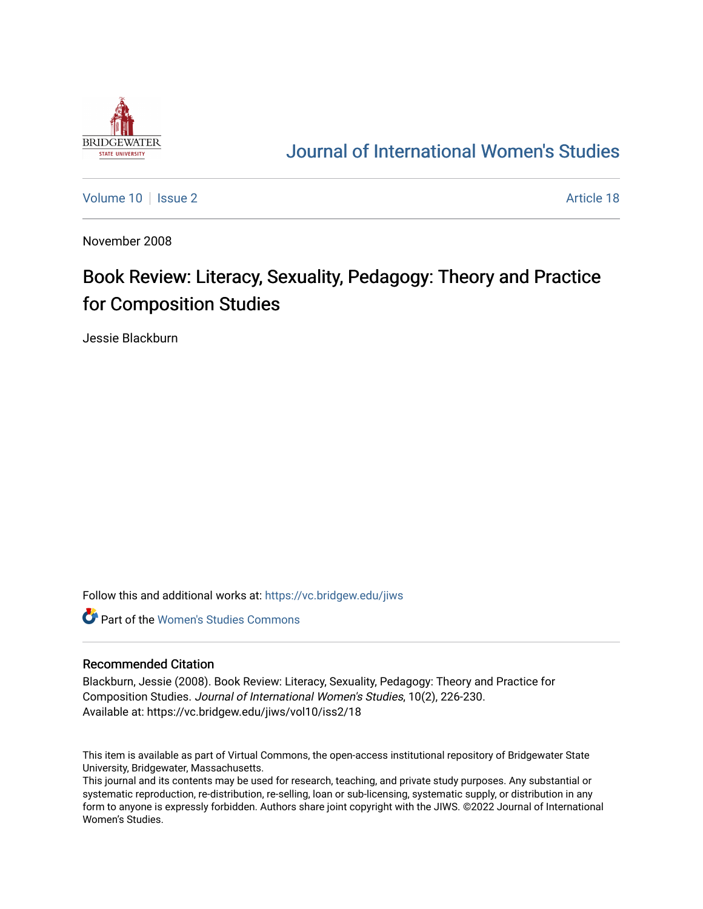

## [Journal of International Women's Studies](https://vc.bridgew.edu/jiws)

[Volume 10](https://vc.bridgew.edu/jiws/vol10) | [Issue 2](https://vc.bridgew.edu/jiws/vol10/iss2) Article 18

November 2008

## Book Review: Literacy, Sexuality, Pedagogy: Theory and Practice for Composition Studies

Jessie Blackburn

Follow this and additional works at: [https://vc.bridgew.edu/jiws](https://vc.bridgew.edu/jiws?utm_source=vc.bridgew.edu%2Fjiws%2Fvol10%2Fiss2%2F18&utm_medium=PDF&utm_campaign=PDFCoverPages)

**C** Part of the Women's Studies Commons

## Recommended Citation

Blackburn, Jessie (2008). Book Review: Literacy, Sexuality, Pedagogy: Theory and Practice for Composition Studies. Journal of International Women's Studies, 10(2), 226-230. Available at: https://vc.bridgew.edu/jiws/vol10/iss2/18

This item is available as part of Virtual Commons, the open-access institutional repository of Bridgewater State University, Bridgewater, Massachusetts.

This journal and its contents may be used for research, teaching, and private study purposes. Any substantial or systematic reproduction, re-distribution, re-selling, loan or sub-licensing, systematic supply, or distribution in any form to anyone is expressly forbidden. Authors share joint copyright with the JIWS. ©2022 Journal of International Women's Studies.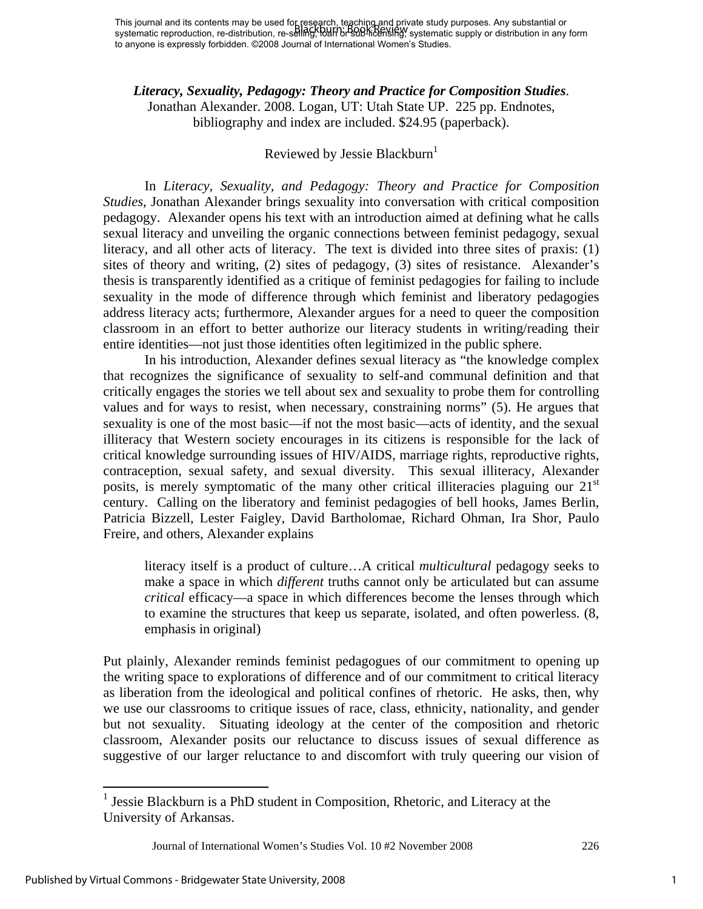*Literacy, Sexuality, Pedagogy: Theory and Practice for Composition Studies*. Jonathan Alexander. 2008. Logan, UT: Utah State UP. 225 pp. Endnotes, bibliography and index are included. \$24.95 (paperback).

## Reviewed by Jessie Blackburn<sup>1</sup>

In *Literacy, Sexuality, and Pedagogy: Theory and Practice for Composition Studies*, Jonathan Alexander brings sexuality into conversation with critical composition pedagogy. Alexander opens his text with an introduction aimed at defining what he calls sexual literacy and unveiling the organic connections between feminist pedagogy, sexual literacy, and all other acts of literacy. The text is divided into three sites of praxis: (1) sites of theory and writing, (2) sites of pedagogy, (3) sites of resistance. Alexander's thesis is transparently identified as a critique of feminist pedagogies for failing to include sexuality in the mode of difference through which feminist and liberatory pedagogies address literacy acts; furthermore, Alexander argues for a need to queer the composition classroom in an effort to better authorize our literacy students in writing/reading their entire identities—not just those identities often legitimized in the public sphere.

In his introduction, Alexander defines sexual literacy as "the knowledge complex that recognizes the significance of sexuality to self-and communal definition and that critically engages the stories we tell about sex and sexuality to probe them for controlling values and for ways to resist, when necessary, constraining norms" (5). He argues that sexuality is one of the most basic—if not the most basic—acts of identity, and the sexual illiteracy that Western society encourages in its citizens is responsible for the lack of critical knowledge surrounding issues of HIV/AIDS, marriage rights, reproductive rights, contraception, sexual safety, and sexual diversity. This sexual illiteracy, Alexander posits, is merely symptomatic of the many other critical illiteracies plaguing our  $21<sup>st</sup>$ century. Calling on the liberatory and feminist pedagogies of bell hooks, James Berlin, Patricia Bizzell, Lester Faigley, David Bartholomae, Richard Ohman, Ira Shor, Paulo Freire, and others, Alexander explains

literacy itself is a product of culture…A critical *multicultural* pedagogy seeks to make a space in which *different* truths cannot only be articulated but can assume *critical* efficacy—a space in which differences become the lenses through which to examine the structures that keep us separate, isolated, and often powerless. (8, emphasis in original)

Put plainly, Alexander reminds feminist pedagogues of our commitment to opening up the writing space to explorations of difference and of our commitment to critical literacy as liberation from the ideological and political confines of rhetoric. He asks, then, why we use our classrooms to critique issues of race, class, ethnicity, nationality, and gender but not sexuality. Situating ideology at the center of the composition and rhetoric classroom, Alexander posits our reluctance to discuss issues of sexual difference as suggestive of our larger reluctance to and discomfort with truly queering our vision of

<sup>&</sup>lt;sup>1</sup> Jessie Blackburn is a PhD student in Composition, Rhetoric, and Literacy at the University of Arkansas.

Journal of International Women's Studies Vol. 10 #2 November 2008 226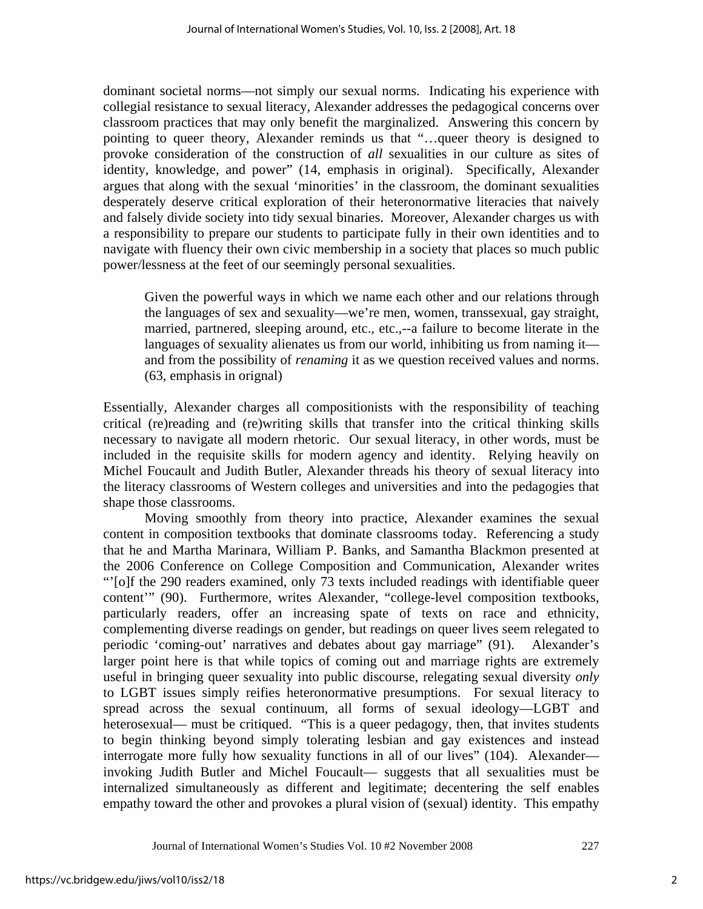dominant societal norms—not simply our sexual norms. Indicating his experience with collegial resistance to sexual literacy, Alexander addresses the pedagogical concerns over classroom practices that may only benefit the marginalized. Answering this concern by pointing to queer theory, Alexander reminds us that "…queer theory is designed to provoke consideration of the construction of *all* sexualities in our culture as sites of identity, knowledge, and power" (14, emphasis in original). Specifically, Alexander argues that along with the sexual 'minorities' in the classroom, the dominant sexualities desperately deserve critical exploration of their heteronormative literacies that naively and falsely divide society into tidy sexual binaries. Moreover, Alexander charges us with a responsibility to prepare our students to participate fully in their own identities and to navigate with fluency their own civic membership in a society that places so much public power/lessness at the feet of our seemingly personal sexualities.

Given the powerful ways in which we name each other and our relations through the languages of sex and sexuality—we're men, women, transsexual, gay straight, married, partnered, sleeping around, etc., etc.,--a failure to become literate in the languages of sexuality alienates us from our world, inhibiting us from naming it and from the possibility of *renaming* it as we question received values and norms. (63, emphasis in orignal)

Essentially, Alexander charges all compositionists with the responsibility of teaching critical (re)reading and (re)writing skills that transfer into the critical thinking skills necessary to navigate all modern rhetoric. Our sexual literacy, in other words, must be included in the requisite skills for modern agency and identity. Relying heavily on Michel Foucault and Judith Butler, Alexander threads his theory of sexual literacy into the literacy classrooms of Western colleges and universities and into the pedagogies that shape those classrooms.

 Moving smoothly from theory into practice, Alexander examines the sexual content in composition textbooks that dominate classrooms today. Referencing a study that he and Martha Marinara, William P. Banks, and Samantha Blackmon presented at the 2006 Conference on College Composition and Communication, Alexander writes "'[o]f the 290 readers examined, only 73 texts included readings with identifiable queer content'" (90). Furthermore, writes Alexander, "college-level composition textbooks, particularly readers, offer an increasing spate of texts on race and ethnicity, complementing diverse readings on gender, but readings on queer lives seem relegated to periodic 'coming-out' narratives and debates about gay marriage" (91). Alexander's larger point here is that while topics of coming out and marriage rights are extremely useful in bringing queer sexuality into public discourse, relegating sexual diversity *only* to LGBT issues simply reifies heteronormative presumptions. For sexual literacy to spread across the sexual continuum, all forms of sexual ideology—LGBT and heterosexual— must be critiqued. "This is a queer pedagogy, then, that invites students to begin thinking beyond simply tolerating lesbian and gay existences and instead interrogate more fully how sexuality functions in all of our lives" (104). Alexander invoking Judith Butler and Michel Foucault— suggests that all sexualities must be internalized simultaneously as different and legitimate; decentering the self enables empathy toward the other and provokes a plural vision of (sexual) identity. This empathy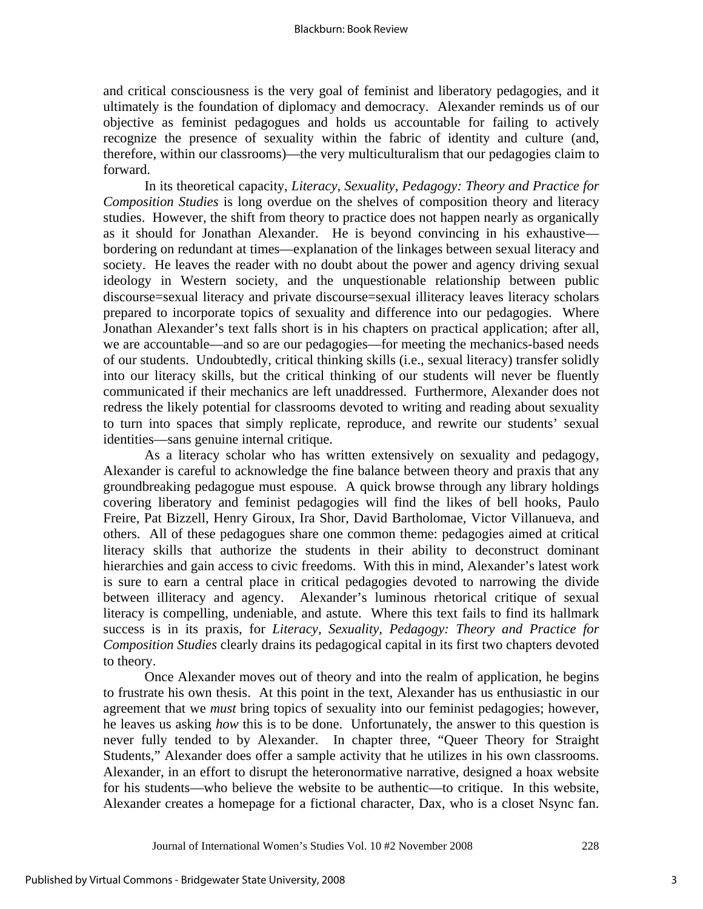and critical consciousness is the very goal of feminist and liberatory pedagogies, and it ultimately is the foundation of diplomacy and democracy. Alexander reminds us of our objective as feminist pedagogues and holds us accountable for failing to actively recognize the presence of sexuality within the fabric of identity and culture (and, therefore, within our classrooms)—the very multiculturalism that our pedagogies claim to forward.

In its theoretical capacity, *Literacy, Sexuality, Pedagogy: Theory and Practice for Composition Studies* is long overdue on the shelves of composition theory and literacy studies. However, the shift from theory to practice does not happen nearly as organically as it should for Jonathan Alexander. He is beyond convincing in his exhaustive bordering on redundant at times—explanation of the linkages between sexual literacy and society. He leaves the reader with no doubt about the power and agency driving sexual ideology in Western society, and the unquestionable relationship between public discourse=sexual literacy and private discourse=sexual illiteracy leaves literacy scholars prepared to incorporate topics of sexuality and difference into our pedagogies. Where Jonathan Alexander's text falls short is in his chapters on practical application; after all, we are accountable—and so are our pedagogies—for meeting the mechanics-based needs of our students. Undoubtedly, critical thinking skills (i.e., sexual literacy) transfer solidly into our literacy skills, but the critical thinking of our students will never be fluently communicated if their mechanics are left unaddressed. Furthermore, Alexander does not redress the likely potential for classrooms devoted to writing and reading about sexuality to turn into spaces that simply replicate, reproduce, and rewrite our students' sexual identities—sans genuine internal critique.

 As a literacy scholar who has written extensively on sexuality and pedagogy, Alexander is careful to acknowledge the fine balance between theory and praxis that any groundbreaking pedagogue must espouse. A quick browse through any library holdings covering liberatory and feminist pedagogies will find the likes of bell hooks, Paulo Freire, Pat Bizzell, Henry Giroux, Ira Shor, David Bartholomae, Victor Villanueva, and others. All of these pedagogues share one common theme: pedagogies aimed at critical literacy skills that authorize the students in their ability to deconstruct dominant hierarchies and gain access to civic freedoms. With this in mind, Alexander's latest work is sure to earn a central place in critical pedagogies devoted to narrowing the divide between illiteracy and agency. Alexander's luminous rhetorical critique of sexual literacy is compelling, undeniable, and astute. Where this text fails to find its hallmark success is in its praxis, for *Literacy, Sexuality, Pedagogy: Theory and Practice for Composition Studies* clearly drains its pedagogical capital in its first two chapters devoted to theory.

 Once Alexander moves out of theory and into the realm of application, he begins to frustrate his own thesis. At this point in the text, Alexander has us enthusiastic in our agreement that we *must* bring topics of sexuality into our feminist pedagogies; however, he leaves us asking *how* this is to be done. Unfortunately, the answer to this question is never fully tended to by Alexander. In chapter three, "Queer Theory for Straight Students," Alexander does offer a sample activity that he utilizes in his own classrooms. Alexander, in an effort to disrupt the heteronormative narrative, designed a hoax website for his students—who believe the website to be authentic—to critique. In this website, Alexander creates a homepage for a fictional character, Dax, who is a closet Nsync fan.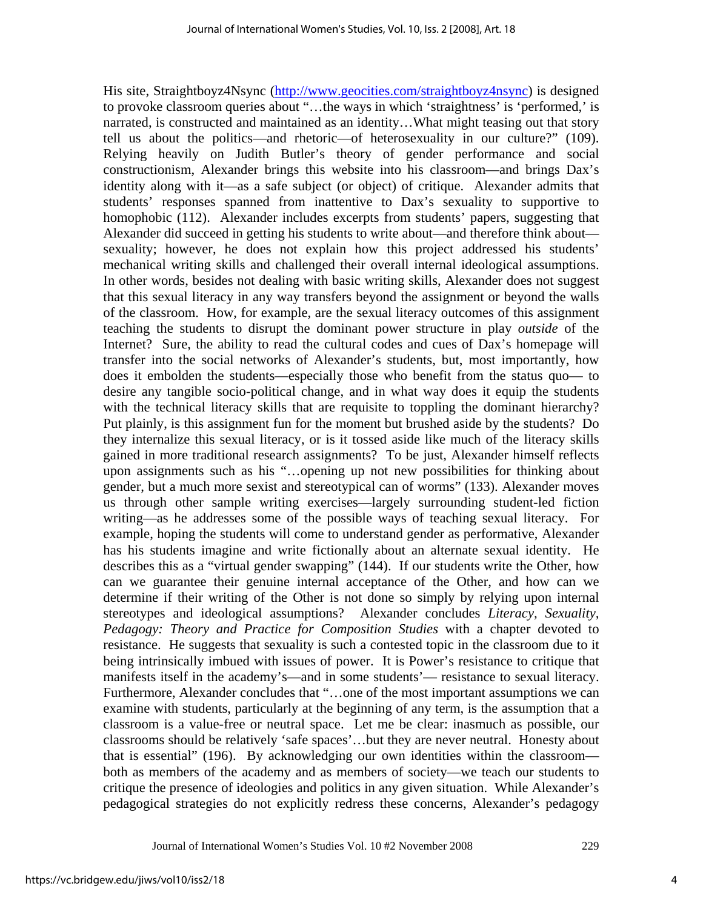His site, Straightboyz4Nsync (http://www.geocities.com/straightboyz4nsync) is designed to provoke classroom queries about "…the ways in which 'straightness' is 'performed,' is narrated, is constructed and maintained as an identity…What might teasing out that story tell us about the politics—and rhetoric—of heterosexuality in our culture?" (109). Relying heavily on Judith Butler's theory of gender performance and social constructionism, Alexander brings this website into his classroom—and brings Dax's identity along with it—as a safe subject (or object) of critique. Alexander admits that students' responses spanned from inattentive to Dax's sexuality to supportive to homophobic (112). Alexander includes excerpts from students' papers, suggesting that Alexander did succeed in getting his students to write about—and therefore think about sexuality; however, he does not explain how this project addressed his students' mechanical writing skills and challenged their overall internal ideological assumptions. In other words, besides not dealing with basic writing skills, Alexander does not suggest that this sexual literacy in any way transfers beyond the assignment or beyond the walls of the classroom. How, for example, are the sexual literacy outcomes of this assignment teaching the students to disrupt the dominant power structure in play *outside* of the Internet? Sure, the ability to read the cultural codes and cues of Dax's homepage will transfer into the social networks of Alexander's students, but, most importantly, how does it embolden the students—especially those who benefit from the status quo— to desire any tangible socio-political change, and in what way does it equip the students with the technical literacy skills that are requisite to toppling the dominant hierarchy? Put plainly, is this assignment fun for the moment but brushed aside by the students? Do they internalize this sexual literacy, or is it tossed aside like much of the literacy skills gained in more traditional research assignments? To be just, Alexander himself reflects upon assignments such as his "…opening up not new possibilities for thinking about gender, but a much more sexist and stereotypical can of worms" (133). Alexander moves us through other sample writing exercises—largely surrounding student-led fiction writing—as he addresses some of the possible ways of teaching sexual literacy. For example, hoping the students will come to understand gender as performative, Alexander has his students imagine and write fictionally about an alternate sexual identity. He describes this as a "virtual gender swapping" (144). If our students write the Other, how can we guarantee their genuine internal acceptance of the Other, and how can we determine if their writing of the Other is not done so simply by relying upon internal stereotypes and ideological assumptions? Alexander concludes *Literacy, Sexuality, Pedagogy: Theory and Practice for Composition Studies* with a chapter devoted to resistance. He suggests that sexuality is such a contested topic in the classroom due to it being intrinsically imbued with issues of power. It is Power's resistance to critique that manifests itself in the academy's—and in some students'— resistance to sexual literacy. Furthermore, Alexander concludes that "…one of the most important assumptions we can examine with students, particularly at the beginning of any term, is the assumption that a classroom is a value-free or neutral space. Let me be clear: inasmuch as possible, our classrooms should be relatively 'safe spaces'…but they are never neutral. Honesty about that is essential" (196). By acknowledging our own identities within the classroom both as members of the academy and as members of society—we teach our students to critique the presence of ideologies and politics in any given situation. While Alexander's pedagogical strategies do not explicitly redress these concerns, Alexander's pedagogy